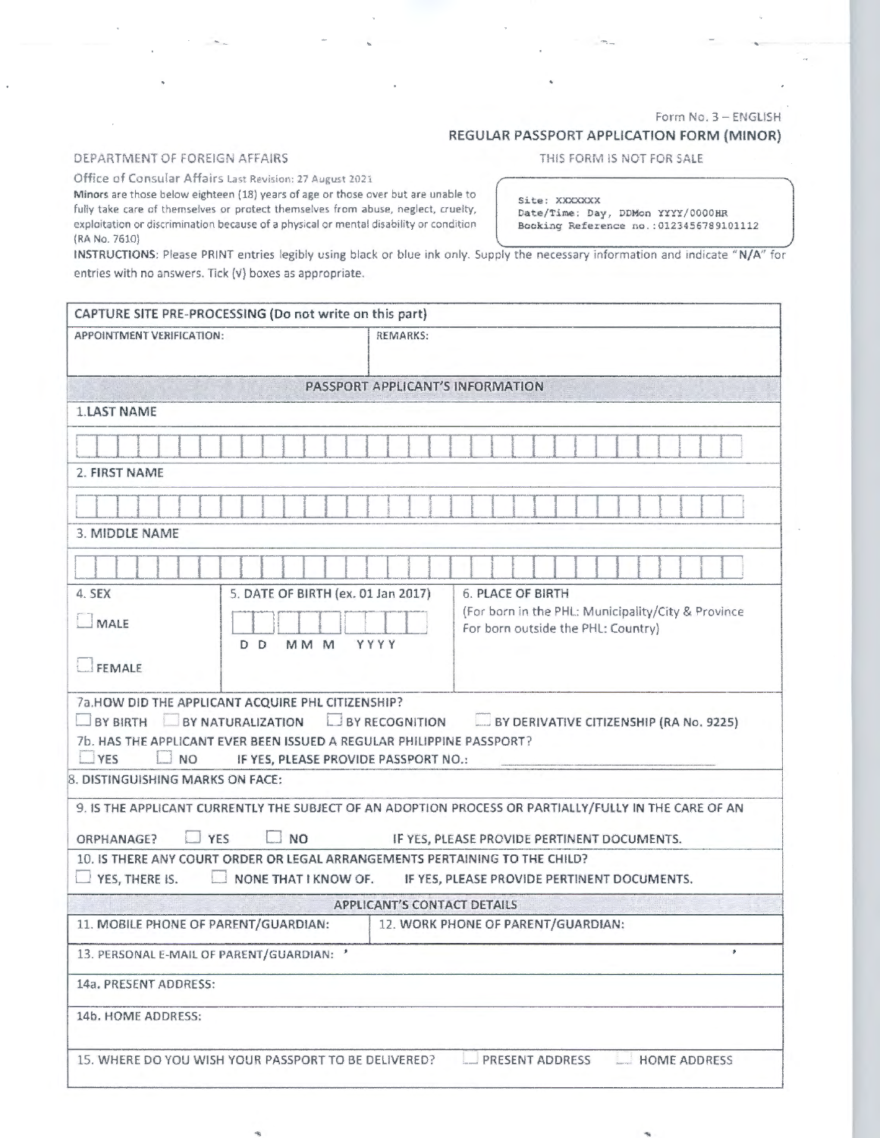## Form No. 3 - ENGLISH

## REGULAR PASSPORT APPLICATION FORM (MINOR)

## DEPARTMENT OF FOREIGN AFFAIRS

## THIS FORM IS NOT FOR SALE

Office of Consular Affairs Last Revision: 27 August 2021

Minors are those below eighteen (18) years of age or those over but are unable to fully take care of themselves or protect themselves from abuse, neglect, cruelty, exploitation or discrimination because of a physical or mental disability or condition (RA No. 7610) , and the contract of the contract of the contract of the contract of the contract of the contract of the contract of the contract of the contract of the contract of the contract of the contract of the contra

Site: XXXXXXX

Date/Time: Day, DDMon YYYY/0000HR<br>Booking Reference no.:0123456789101112

INSTRUCTIONS: Please PRINT entries legibly using black or blue ink only. Supply the necessary information and indicate "N/A" for entries with no answers. Tick (v) boxes as appropriate.

/

| CAPTURE SITE PRE-PROCESSING (Do not write on this part)                                           |                                      |                                                                                                       |  |  |  |  |
|---------------------------------------------------------------------------------------------------|--------------------------------------|-------------------------------------------------------------------------------------------------------|--|--|--|--|
| APPOINTMENT VERIFICATION:                                                                         | <b>REMARKS:</b>                      |                                                                                                       |  |  |  |  |
|                                                                                                   |                                      |                                                                                                       |  |  |  |  |
| PASSPORT APPLICANT'S INFORMATION                                                                  |                                      |                                                                                                       |  |  |  |  |
| <b>1.LAST NAME</b>                                                                                |                                      |                                                                                                       |  |  |  |  |
|                                                                                                   |                                      |                                                                                                       |  |  |  |  |
| 2. FIRST NAME                                                                                     |                                      |                                                                                                       |  |  |  |  |
|                                                                                                   |                                      |                                                                                                       |  |  |  |  |
| 3. MIDDLE NAME                                                                                    |                                      |                                                                                                       |  |  |  |  |
|                                                                                                   |                                      |                                                                                                       |  |  |  |  |
| 4. SEX                                                                                            | 5. DATE OF BIRTH (ex. 01 Jan 2017)   | <b>6. PLACE OF BIRTH</b>                                                                              |  |  |  |  |
|                                                                                                   |                                      | (For born in the PHL: Municipality/City & Province                                                    |  |  |  |  |
| $\square$ MALE                                                                                    |                                      | For born outside the PHL: Country)                                                                    |  |  |  |  |
| MM <sub>M</sub><br>D D                                                                            | <b>YYYY</b>                          |                                                                                                       |  |  |  |  |
| FEMALE                                                                                            |                                      |                                                                                                       |  |  |  |  |
| 7a.HOW DID THE APPLICANT ACQUIRE PHL CITIZENSHIP?                                                 |                                      |                                                                                                       |  |  |  |  |
| BY BIRTH BY NATURALIZATION                                                                        | <b>E BY RECOGNITION</b>              | BY DERIVATIVE CITIZENSHIP (RA No. 9225)                                                               |  |  |  |  |
| 7b. HAS THE APPLICANT EVER BEEN ISSUED A REGULAR PHILIPPINE PASSPORT?                             |                                      |                                                                                                       |  |  |  |  |
| <b>YES</b><br><b>NO</b><br>8. DISTINGUISHING MARKS ON FACE:                                       | IF YES, PLEASE PROVIDE PASSPORT NO.: |                                                                                                       |  |  |  |  |
|                                                                                                   |                                      |                                                                                                       |  |  |  |  |
|                                                                                                   |                                      | 9. IS THE APPLICANT CURRENTLY THE SUBJECT OF AN ADOPTION PROCESS OR PARTIALLY/FULLY IN THE CARE OF AN |  |  |  |  |
| YES<br><b>NO</b><br>ORPHANAGE?<br>IF YES, PLEASE PROVIDE PERTINENT DOCUMENTS.                     |                                      |                                                                                                       |  |  |  |  |
| 10. IS THERE ANY COURT ORDER OR LEGAL ARRANGEMENTS PERTAINING TO THE CHILD?                       |                                      |                                                                                                       |  |  |  |  |
| YES, THERE IS.<br>NONE THAT I KNOW OF.<br>IF YES, PLEASE PROVIDE PERTINENT DOCUMENTS.             |                                      |                                                                                                       |  |  |  |  |
| <b>APPLICANT'S CONTACT DETAILS</b>                                                                |                                      |                                                                                                       |  |  |  |  |
| 11. MOBILE PHONE OF PARENT/GUARDIAN:                                                              |                                      | 12. WORK PHONE OF PARENT/GUARDIAN:                                                                    |  |  |  |  |
| 13. PERSONAL E-MAIL OF PARENT/GUARDIAN:                                                           |                                      |                                                                                                       |  |  |  |  |
| 14a. PRESENT ADDRESS:                                                                             |                                      |                                                                                                       |  |  |  |  |
| 14b. HOME ADDRESS:                                                                                |                                      |                                                                                                       |  |  |  |  |
| PRESENT ADDRESS<br>15. WHERE DO YOU WISH YOUR PASSPORT TO BE DELIVERED?<br><b>LU HOME ADDRESS</b> |                                      |                                                                                                       |  |  |  |  |
|                                                                                                   |                                      |                                                                                                       |  |  |  |  |
|                                                                                                   |                                      |                                                                                                       |  |  |  |  |